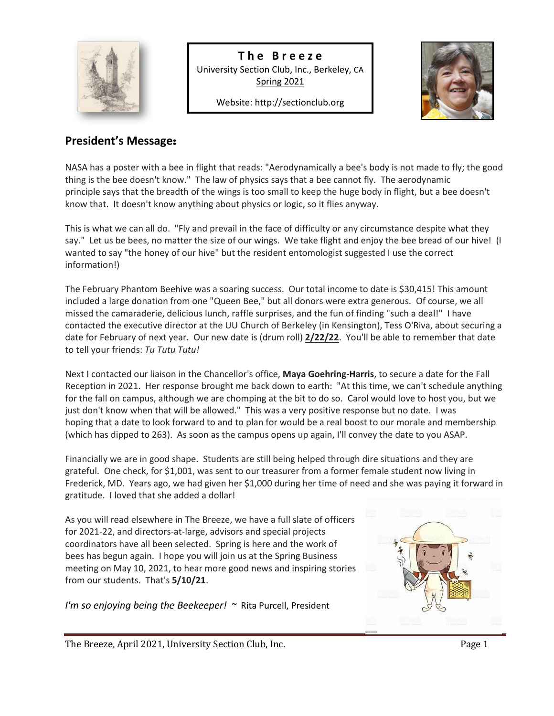

**T h e B r e e z e** University Section Club, Inc., Berkeley, CA Spring 2021

Website[: http://sectionclub.org](http://sectionclub.org/)



## **President's Message**:

I

NASA has a poster with a bee in flight that reads: "Aerodynamically a bee's body is not made to fly; the good thing is the bee doesn't know." The law of physics says that a bee cannot fly. The aerodynamic principle says that the breadth of the wings is too small to keep the huge body in flight, but a bee doesn't know that. It doesn't know anything about physics or logic, so it flies anyway.

This is what we can all do. "Fly and prevail in the face of difficulty or any circumstance despite what they say." Let us be bees, no matter the size of our wings. We take flight and enjoy the bee bread of our hive! (I wanted to say "the honey of our hive" but the resident entomologist suggested I use the correct information!)

The February Phantom Beehive was a soaring success. Our total income to date is \$30,415! This amount included a large donation from one "Queen Bee," but all donors were extra generous. Of course, we all missed the camaraderie, delicious lunch, raffle surprises, and the fun of finding "such a deal!" I have contacted the executive director at the UU Church of Berkeley (in Kensington), Tess O'Riva, about securing a date for February of next year. Our new date is (drum roll) **2/22/22**. You'll be able to remember that date to tell your friends: *Tu Tutu Tutu!*

Next I contacted our liaison in the Chancellor's office, **Maya Goehring-Harris**, to secure a date for the Fall Reception in 2021. Her response brought me back down to earth: "At this time, we can't schedule anything for the fall on campus, although we are chomping at the bit to do so. Carol would love to host you, but we just don't know when that will be allowed." This was a very positive response but no date. I was hoping that a date to look forward to and to plan for would be a real boost to our morale and membership (which has dipped to 263). As soon as the campus opens up again, I'll convey the date to you ASAP.

Financially we are in good shape. Students are still being helped through dire situations and they are grateful. One check, for \$1,001, was sent to our treasurer from a former female student now living in Frederick, MD. Years ago, we had given her \$1,000 during her time of need and she was paying it forward in gratitude. I loved that she added a dollar!

As you will read elsewhere in The Breeze, we have a full slate of officers for 2021-22, and directors-at-large, advisors and special projects coordinators have all been selected. Spring is here and the work of bees has begun again. I hope you will join us at the Spring Business meeting on May 10, 2021, to hear more good news and inspiring stories from our students. That's **5/10/21**.

*I'm so enjoying being the Beekeeper! ~* Rita Purcell, President



The Breeze, April 2021, University Section Club, Inc. The Page 1 Page 1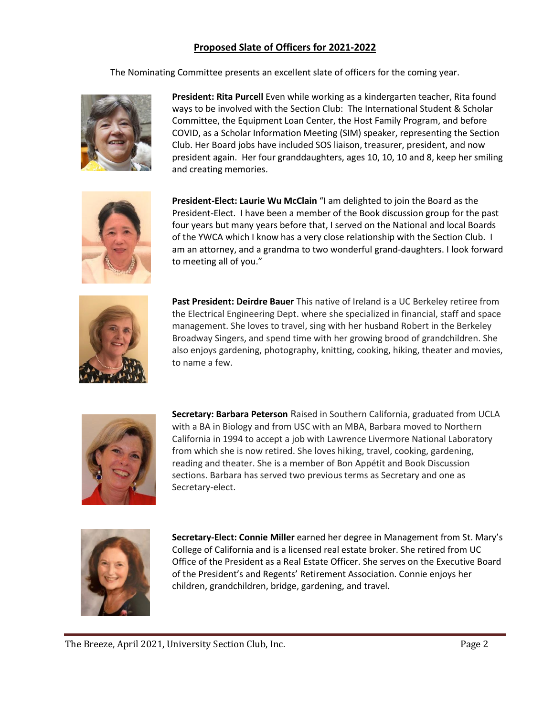## **Proposed Slate of Officers for 2021-2022**

The Nominating Committee presents an excellent slate of officers for the coming year.



**President: Rita Purcell** Even while working as a kindergarten teacher, Rita found ways to be involved with the Section Club: The International Student & Scholar Committee, the Equipment Loan Center, the Host Family Program, and before COVID, as a Scholar Information Meeting (SIM) speaker, representing the Section Club. Her Board jobs have included SOS liaison, treasurer, president, and now president again. Her four granddaughters, ages 10, 10, 10 and 8, keep her smiling and creating memories.



**President-Elect: Laurie Wu McClain** "I am delighted to join the Board as the President-Elect. I have been a member of the Book discussion group for the past four years but many years before that, I served on the National and local Boards of the YWCA which I know has a very close relationship with the Section Club. I am an attorney, and a grandma to two wonderful grand-daughters. I look forward to meeting all of you."



**Past President: Deirdre Bauer** This native of Ireland is a UC Berkeley retiree from the Electrical Engineering Dept. where she specialized in financial, staff and space management. She loves to travel, sing with her husband Robert in the Berkeley Broadway Singers, and spend time with her growing brood of grandchildren. She also enjoys gardening, photography, knitting, cooking, hiking, theater and movies, to name a few.



**Secretary: Barbara Peterson** Raised in Southern California, graduated from UCLA with a BA in Biology and from USC with an MBA, Barbara moved to Northern California in 1994 to accept a job with Lawrence Livermore National Laboratory from which she is now retired. She loves hiking, travel, cooking, gardening, reading and theater. She is a member of Bon Appétit and Book Discussion sections. Barbara has served two previous terms as Secretary and one as Secretary-elect.



**Secretary-Elect: Connie Miller** earned her degree in Management from St. Mary's College of California and is a licensed real estate broker. She retired from UC Office of the President as a Real Estate Officer. She serves on the Executive Board of the President's and Regents' Retirement Association. Connie enjoys her children, grandchildren, bridge, gardening, and travel.

The Breeze, April 2021, University Section Club, Inc. The Page 2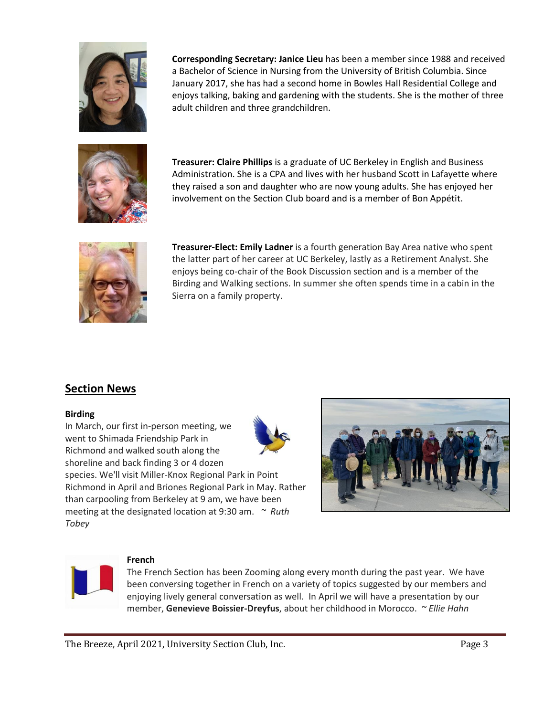

**Corresponding Secretary: Janice Lieu** has been a member since 1988 and received a Bachelor of Science in Nursing from the University of British Columbia. Since January 2017, she has had a second home in Bowles Hall Residential College and enjoys talking, baking and gardening with the students. She is the mother of three adult children and three grandchildren.



**Treasurer: Claire Phillips** is a graduate of UC Berkeley in English and Business Administration. She is a CPA and lives with her husband Scott in Lafayette where they raised a son and daughter who are now young adults. She has enjoyed her involvement on the Section Club board and is a member of Bon Appétit.



**Treasurer-Elect: Emily Ladner** is a fourth generation Bay Area native who spent the latter part of her career at UC Berkeley, lastly as a Retirement Analyst. She enjoys being co-chair of the Book Discussion section and is a member of the Birding and Walking sections. In summer she often spends time in a cabin in the Sierra on a family property.

## **Section News**

#### **Birding**

In March, our first in-person meeting, we went to Shimada Friendship Park in Richmond and walked south along the shoreline and back finding 3 or 4 dozen species. We'll visit Miller-Knox Regional Park in Point Richmond in April and Briones Regional Park in May. Rather than carpooling from Berkeley at 9 am, we have been meeting at the designated location at 9:30 am. *~ Ruth Tobey*







#### **French**

The French Section has been Zooming along every month during the past year. We have been conversing together in French on a variety of topics suggested by our members and enjoying lively general conversation as well. In April we will have a presentation by our member, **Genevieve Boissier-Dreyfus**, about her childhood in Morocco. *~ Ellie Hahn*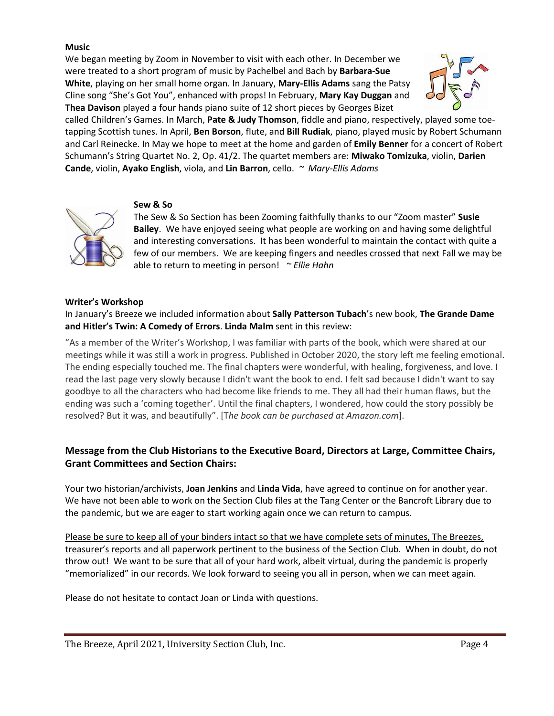### **Music**

We began meeting by Zoom in November to visit with each other. In December we were treated to a short program of music by Pachelbel and Bach by **Barbara-Sue White**, playing on her small home organ. In January, **Mary-Ellis Adams** sang the Patsy Cline song "She's Got You", enhanced with props! In February, **Mary Kay Duggan** and **Thea Davison** played a four hands piano suite of 12 short pieces by Georges Bizet



called Children's Games. In March, **Pate & Judy Thomson**, fiddle and piano, respectively, played some toetapping Scottish tunes. In April, **Ben Borson**, flute, and **Bill Rudiak**, piano, played music by Robert Schumann and Carl Reinecke. In May we hope to meet at the home and garden of **Emily Benner** for a concert of Robert Schumann's String Quartet No. 2, Op. 41/2. The quartet members are: **Miwako Tomizuka**, violin, **Darien Cande**, violin, **Ayako English**, viola, and **Lin Barron**, cello. *~ Mary-Ellis Adams*



#### **Sew & So**

The Sew & So Section has been Zooming faithfully thanks to our "Zoom master" **Susie Bailey**. We have enjoyed seeing what people are working on and having some delightful and interesting conversations. It has been wonderful to maintain the contact with quite a few of our members. We are keeping fingers and needles crossed that next Fall we may be able to return to meeting in person! *~ Ellie Hahn*

#### **Writer's Workshop**

In January's Breeze we included information about **Sally Patterson Tubach**'s new book, **The Grande Dame and Hitler's Twin: A Comedy of Errors**. **Linda Malm** sent in this review:

"As a member of the Writer's Workshop, I was familiar with parts of the book, which were shared at our meetings while it was still a work in progress. Published in October 2020, the story left me feeling emotional. The ending especially touched me. The final chapters were wonderful, with healing, forgiveness, and love. I read the last page very slowly because I didn't want the book to end. I felt sad because I didn't want to say goodbye to all the characters who had become like friends to me. They all had their human flaws, but the ending was such a 'coming together'. Until the final chapters, I wondered, how could the story possibly be resolved? But it was, and beautifully". [T*he book can be purchased at Amazon.com*].

## **Message from the Club Historians to the Executive Board, Directors at Large, Committee Chairs, Grant Committees and Section Chairs:**

Your two historian/archivists, **Joan Jenkins** and **Linda Vida**, have agreed to continue on for another year. We have not been able to work on the Section Club files at the Tang Center or the Bancroft Library due to the pandemic, but we are eager to start working again once we can return to campus.

Please be sure to keep all of your binders intact so that we have complete sets of minutes, The Breezes, treasurer's reports and all paperwork pertinent to the business of the Section Club. When in doubt, do not throw out! We want to be sure that all of your hard work, albeit virtual, during the pandemic is properly "memorialized" in our records. We look forward to seeing you all in person, when we can meet again.

Please do not hesitate to contact Joan or Linda with questions.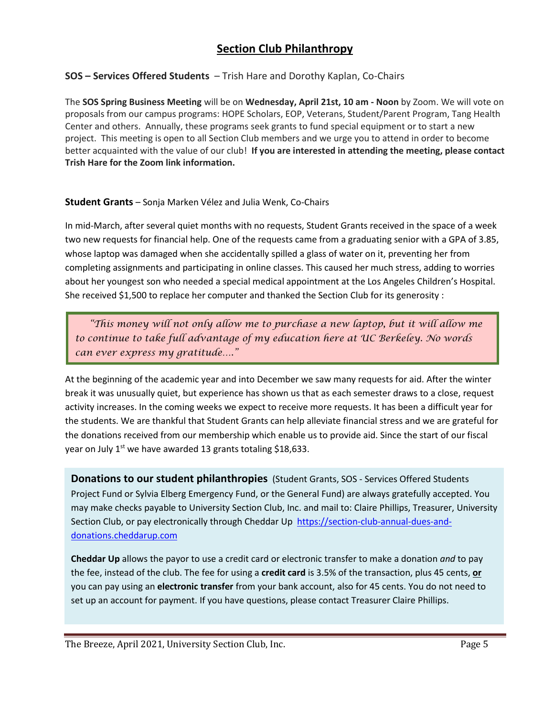# **Section Club Philanthropy**

### **SOS – Services Offered Students** – Trish Hare and Dorothy Kaplan, Co-Chairs

The **SOS Spring Business Meeting** will be on **Wednesday, April 21st, 10 am - Noon** by Zoom. We will vote on proposals from our campus programs: HOPE Scholars, EOP, Veterans, Student/Parent Program, Tang Health Center and others. Annually, these programs seek grants to fund special equipment or to start a new project. This meeting is open to all Section Club members and we urge you to attend in order to become better acquainted with the value of our club! **If you are interested in attending the meeting, please contact Trish Hare for the Zoom link information.**

### **Student Grants** – Sonja Marken Vélez and Julia Wenk, Co-Chairs

In mid-March, after several quiet months with no requests, Student Grants received in the space of a week two new requests for financial help. One of the requests came from a graduating senior with a GPA of 3.85, whose laptop was damaged when she accidentally spilled a glass of water on it, preventing her from completing assignments and participating in online classes. This caused her much stress, adding to worries about her youngest son who needed a special medical appointment at the Los Angeles Children's Hospital. She received \$1,500 to replace her computer and thanked the Section Club for its generosity :

 *"This money will not only allow me to purchase a new laptop, but it will allow me to continue to take full advantage of my education here at UC Berkeley. No words can ever express my gratitude…."*

 At the beginning of the academic year and into December we saw many requests for aid. After the winter break it was unusually quiet, but experience has shown us that as each semester draws to a close, request activity increases. In the coming weeks we expect to receive more requests. It has been a difficult year for the students. We are thankful that Student Grants can help alleviate financial stress and we are grateful for the donations received from our membership which enable us to provide aid. Since the start of our fiscal year on July  $1<sup>st</sup>$  we have awarded 13 grants totaling \$18,633.

**Donations to our student philanthropies** (Student Grants, SOS - Services Offered Students Project Fund or Sylvia Elberg Emergency Fund, or the General Fund) are always gratefully accepted. You may make checks payable to University Section Club, Inc. and mail to: Claire Phillips, Treasurer, University Section Club, or pay electronically through Cheddar Up [https://section-club-annual-dues-and](https://section-club-annual-dues-and-donations.cheddarup.com/)[donations.cheddarup.com](https://section-club-annual-dues-and-donations.cheddarup.com/)

**Cheddar Up** allows the payor to use a credit card or electronic transfer to make a donation *and* to pay the fee, instead of the club. The fee for using a **credit card** is 3.5% of the transaction, plus 45 cents, **or**  you can pay using an **electronic transfer** from your bank account, also for 45 cents. You do not need to set up an account for payment. If you have questions, please contact Treasurer Claire Phillips.

The Breeze, April 2021, University Section Club, Inc. The Breeze, Page 5